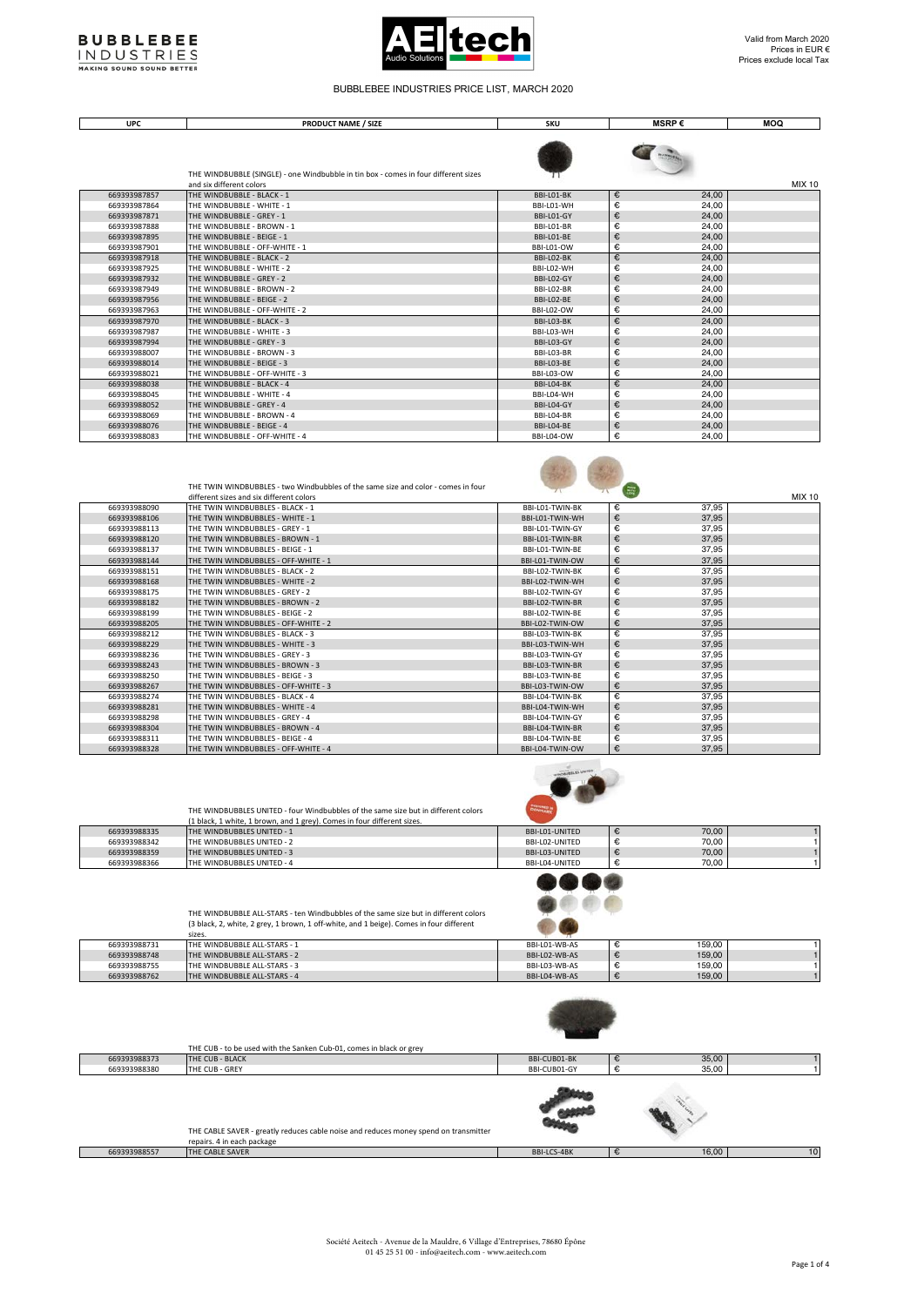



Ξ

## BUBBLEBEE INDUSTRIES PRICE LIST, MARCH 2020

**UPC PRODUCT NAME / SIZE SKU MSRP € MOQ** 

|              | THE WINDBUBBLE (SINGLE) - one Windbubble in tin box - comes in four different sizes |            |                                                              |               |
|--------------|-------------------------------------------------------------------------------------|------------|--------------------------------------------------------------|---------------|
|              | and six different colors                                                            |            |                                                              | <b>MIX 10</b> |
| 669393987857 | THE WINDBUBBLE - BLACK - 1                                                          | BBI-L01-BK | €<br>24,00                                                   |               |
| 669393987864 | THE WINDBUBBLE - WHITE - 1                                                          | BBI-L01-WH | €<br>24,00                                                   |               |
| 669393987871 | THE WINDBUBBLE - GREY - 1                                                           | BBI-L01-GY | €<br>24,00                                                   |               |
| 669393987888 | THE WINDBUBBLE - BROWN - 1                                                          | BBI-L01-BR | €<br>24,00                                                   |               |
| 669393987895 | THE WINDBUBBLE - BEIGE - 1                                                          | BBI-L01-BE | €<br>24,00                                                   |               |
| 669393987901 | THE WINDBUBBLE - OFF-WHITE - 1                                                      | BBI-L01-OW | €<br>24.00                                                   |               |
| 669393987918 | THE WINDBUBBLE - BLACK - 2                                                          | BBI-LO2-BK | €<br>24,00                                                   |               |
| 669393987925 | THE WINDBUBBLE - WHITE - 2                                                          | BBI-L02-WH | €<br>24,00                                                   |               |
| 669393987932 | THE WINDBUBBLE - GREY - 2                                                           | BBI-L02-GY | €<br>24,00                                                   |               |
| 669393987949 | THE WINDBUBBLE - BROWN - 2                                                          | BBI-LO2-BR | €<br>24,00                                                   |               |
| 669393987956 | THE WINDBUBBLE - BEIGE - 2                                                          | BBI-LO2-BE | €<br>24,00                                                   |               |
| 669393987963 | THE WINDBUBBLE - OFF-WHITE - 2                                                      | BBI-L02-OW | €<br>24.00                                                   |               |
| 669393987970 | THE WINDBUBBLE - BLACK - 3                                                          | BBI-L03-BK | €<br>24,00                                                   |               |
| 669393987987 | THE WINDBUBBLE - WHITE - 3                                                          | BBI-L03-WH | €<br>24,00                                                   |               |
| 669393987994 | THE WINDBUBBLE - GREY - 3                                                           | BBI-L03-GY | €<br>24.00                                                   |               |
| 669393988007 | THE WINDBUBBLE - BROWN - 3                                                          | BBI-L03-BR | €<br>24,00                                                   |               |
| 669393988014 | THE WINDBUBBLE - BEIGE - 3                                                          | BBI-L03-BE | €<br>24,00                                                   |               |
| 669393988021 | THE WINDBUBBLE - OFF-WHITE - 3                                                      | BBI-L03-OW | €<br>24.00                                                   |               |
| 669393988038 | THE WINDBUBBLE - BLACK - 4                                                          | BBI-L04-BK | €<br>24,00                                                   |               |
| 669393988045 | THE WINDBUBBLE - WHITE - 4                                                          | BBI-L04-WH | €<br>24,00                                                   |               |
| 669393988052 | THE WINDBUBBLE - GREY - 4                                                           | BBI-L04-GY | $\epsilon$<br>24,00                                          |               |
| 669393988069 | THE WINDBUBBLE - BROWN - 4                                                          | BBI-L04-BR | €<br>24,00                                                   |               |
| 669393988076 | THE WINDBUBBLE - BEIGE - 4                                                          | BBI-L04-BE | $\begin{array}{c} \epsilon \\ \epsilon \end{array}$<br>24,00 |               |
| 669393988083 | THE WINDBUBBLE - OFF-WHITE - 4                                                      | BBI-L04-OW | 24.00                                                        |               |

|              | THE TWIN WINDBUBBLES - two Windbubbles of the same size and color - comes in four |                 | 信          |               |
|--------------|-----------------------------------------------------------------------------------|-----------------|------------|---------------|
|              | different sizes and six different colors                                          |                 |            | <b>MIX 10</b> |
| 669393988090 | THE TWIN WINDBUBBLES - BLACK - 1                                                  | BBI-L01-TWIN-BK | €<br>37,95 |               |
| 669393988106 | THE TWIN WINDBUBBLES - WHITE - 1                                                  | BBI-L01-TWIN-WH | €<br>37,95 |               |
| 669393988113 | THE TWIN WINDBUBBLES - GREY - 1                                                   | BBI-L01-TWIN-GY | €<br>37,95 |               |
| 669393988120 | THE TWIN WINDBUBBLES - BROWN - 1                                                  | BBI-L01-TWIN-BR | €<br>37,95 |               |
| 669393988137 | THE TWIN WINDBUBBLES - BEIGE - 1                                                  | BBI-L01-TWIN-BE | €<br>37,95 |               |
| 669393988144 | THE TWIN WINDBUBBLES - OFF-WHITE - 1                                              | BBI-L01-TWIN-OW | €<br>37,95 |               |
| 669393988151 | THE TWIN WINDBUBBLES - BLACK - 2                                                  | BBI-L02-TWIN-BK | €<br>37,95 |               |
| 669393988168 | THE TWIN WINDBUBBLES - WHITE - 2                                                  | BBI-L02-TWIN-WH | €<br>37,95 |               |
| 669393988175 | THE TWIN WINDBUBBLES - GREY - 2                                                   | BBI-L02-TWIN-GY | €<br>37,95 |               |
| 669393988182 | THE TWIN WINDBUBBLES - BROWN - 2                                                  | BBI-L02-TWIN-BR | €<br>37,95 |               |
| 669393988199 | THE TWIN WINDBUBBLES - BEIGE - 2                                                  | BBI-L02-TWIN-BE | €<br>37,95 |               |
| 669393988205 | THE TWIN WINDBUBBLES - OFF-WHITE - 2                                              | BBI-L02-TWIN-OW | €<br>37,95 |               |
| 669393988212 | THE TWIN WINDBUBBLES - BLACK - 3                                                  | BBI-L03-TWIN-BK | €<br>37,95 |               |
| 669393988229 | THE TWIN WINDBUBBLES - WHITE - 3                                                  | BBI-L03-TWIN-WH | €<br>37,95 |               |
| 669393988236 | THE TWIN WINDBUBBLES - GREY - 3                                                   | BBI-L03-TWIN-GY | €<br>37,95 |               |
| 669393988243 | THE TWIN WINDBUBBLES - BROWN - 3                                                  | BBI-L03-TWIN-BR | €<br>37,95 |               |
| 669393988250 | THE TWIN WINDBUBBLES - BEIGE - 3                                                  | BBI-L03-TWIN-BE | €<br>37,95 |               |
| 669393988267 | THE TWIN WINDBUBBLES - OFF-WHITE - 3                                              | BBI-L03-TWIN-OW | €<br>37,95 |               |
| 669393988274 | THE TWIN WINDBUBBLES - BLACK - 4                                                  | BBI-I04-TWIN-BK | €<br>37,95 |               |
| 669393988281 | THE TWIN WINDBUBBLES - WHITE - 4                                                  | BBI-L04-TWIN-WH | €<br>37,95 |               |
| 669393988298 | THE TWIN WINDBUBBLES - GREY - 4                                                   | BBI-L04-TWIN-GY | €<br>37,95 |               |
| 669393988304 | THE TWIN WINDBUBBLES - BROWN - 4                                                  | BBI-L04-TWIN-BR | €<br>37,95 |               |
| 669393988311 | THE TWIN WINDBUBBLES - BEIGE - 4                                                  | BBI-L04-TWIN-BE | €<br>37,95 |               |
| 669393988328 | THE TWIN WINDBUBBLES - OFF-WHITE - 4                                              | BBI-L04-TWIN-OW | €<br>37,95 |               |

48 48

|              | THE WINDBUBBLES UNITED - four Windbubbles of the same size but in different colors<br>(1 black, 1 white, 1 brown, and 1 grey). Comes in four different sizes.                            | <b>DENNAD</b>  |        |       |  |
|--------------|------------------------------------------------------------------------------------------------------------------------------------------------------------------------------------------|----------------|--------|-------|--|
| 669393988335 | THE WINDBUBBLES UNITED - 1                                                                                                                                                               | BBI-L01-UNITED | €      | 70,00 |  |
| 669393988342 | THE WINDBUBBLES UNITED - 2                                                                                                                                                               | BBI-L02-UNITED | €      | 70,00 |  |
| 669393988359 | THE WINDBUBBLES UNITED - 3                                                                                                                                                               | BBI-L03-UNITED | €      | 70,00 |  |
| 669393988366 | THE WINDBUBBLES UNITED - 4                                                                                                                                                               | BBI-L04-UNITED | €      | 70,00 |  |
|              | THE WINDBUBBLE ALL-STARS - ten Windbubbles of the same size but in different colors<br>(3 black, 2, white, 2 grey, 1 brown, 1 off-white, and 1 beige). Comes in four different<br>sizes. |                |        |       |  |
|              |                                                                                                                                                                                          |                | $\sim$ | .     |  |

| 669393988731 | ITHE WINDBUBBLE ALL-STARS - 1        | BBI-L01-WB-AS | 159.00 |  |
|--------------|--------------------------------------|---------------|--------|--|
| 669393988748 | THE WINDBUBBLE ALL-STARS - 2         | BBI-L02-WB-AS | 159,00 |  |
| 669393988755 | THE WINDBUBBLE ALL-STARS - 3         | BBI-L03-WB-AS | 159.00 |  |
| 669393988762 | <b>ITHE WINDBUBBLE ALL-STARS - 4</b> | BBI-L04-WB-AS | 159,00 |  |

|              | THE CUB - to be used with the Sanken Cub-01, comes in black or grey                                                |              |            |                 |
|--------------|--------------------------------------------------------------------------------------------------------------------|--------------|------------|-----------------|
| 669393988373 | THE CUB - BLACK                                                                                                    | BBI-CUB01-BK | 35,00      |                 |
| 669393988380 | THE CUB - GREY                                                                                                     | BBI-CUB01-GY | 35,00      |                 |
|              | THE CABLE SAVER - greatly reduces cable noise and reduces money spend on transmitter<br>repairs. 4 in each package |              |            |                 |
| 669393988557 | THE CABLE SAVER                                                                                                    | BBI-LCS-4BK  | 16,00<br>€ | 10 <sup>°</sup> |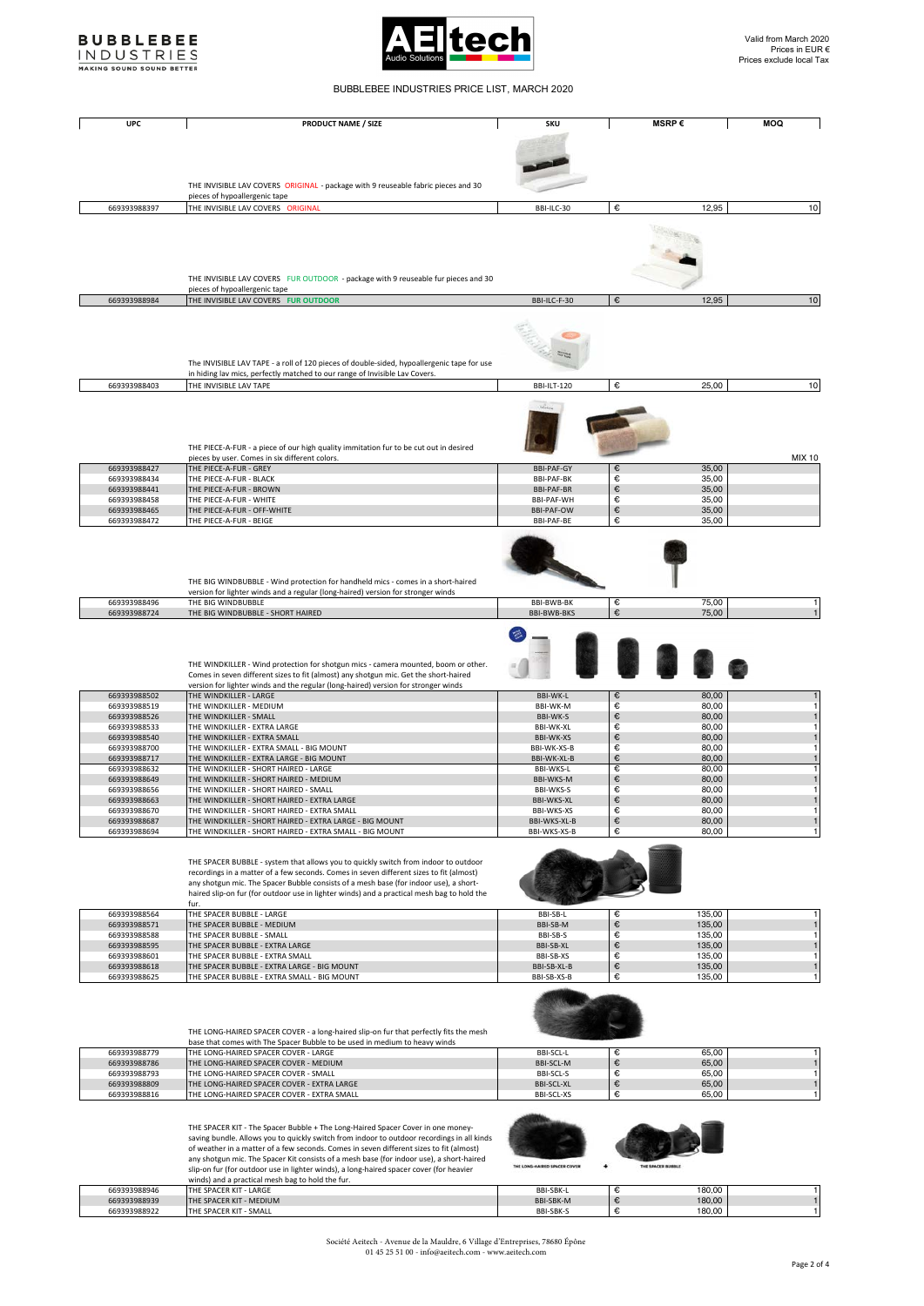



BUBBLEBEE INDUSTRIES PRICE LIST, MARCH 2020

## **UPC PRODUCT NAME / SIZE SKU MSRP € MOQ**  THE INVISIBLE LAV COVERS ORIGINAL - package with 9 reuseable fabric pieces and 30 pieces of hypoallergenic tape  $\overline{669393988397}$  THE INVISIBLE LAV COVERS ORIGINAL  $\overline{6}$  BBI-ILC-30  $\overline{6}$  12,95 10 THE INVISIBLE LAV COVERS FUR OUTDOOR - package with 9 reuseable fur pieces and 30 pieces of hypoallergenic tape **669393988984** THE INVISIBLE LAV COVERS FUR OUTDOOR **COMPONERS THE INVISIBLE LAV COVERS FUR OUTDOOR 6** 12,95 **10** E. The INVISIBLE LAV TAPE - a roll of 120 pieces of double-sided, hypoallergenic tape for use in hiding lav mics, perfectly matched to our range of Invisible Lav Covers. 669393988403 THE INVISIBLE LAV TAPE BBI-ILT-120 ●€ 25,00 | 10 THE PIECE-A-FUR - a piece of our high quality immitation fur to be cut out in desired pieces by user. Comes in six different colors.<br>669393988427 THE PIECE-A-FUR - GREY BBI-PAF-GY BBI-PAF-GY ● 35,00 | STARE-GY BBI-PAF-GY BBI-PAF-GY BI-PAF-GY BI-PAF-GY BI-PAF-GY BI-PAF-GY BI-PAF-GY BI-PAF-GY BI-PAF-GY BI-PA 669393988434 THE PIECE-A-FUR - BLACK BBI-PAF-BK € 35,00 669393988441 THE PIECE-A-FUR - BROWN BBI-PAF-BR € 35,00 669393988458 THE PIECE-A-FUR - WHITE BBI-PAF-WH ⊜<br>669393988465 THE PIECE-A-FUR - OFF-WHITE BBI-PAF-OW BBI-PAF-OW ⊜ 35,00 669393988472 THE PIECE-A-FUR - BEIGE BBI-PAF-BE € 35,00 THE BIG WINDBUBBLE - Wind protection for handheld mics - comes in a short-haired version for lighter winds and a regular (long-haired) version for stronger winds 669393988496 THE BIG WINDBUBBLE BBI-BWB-BK € 75,00 1 669393988724 THE BIG WINDBUBBLE - SHORT HAIRED BBI-BWB-BKS € 75,00 1 THE WINDKILLER - Wind protection for shotgun mics - camera mounted, boom or other. Comes in seven different sizes to fit (almost) any shotgun mic. Get the short-haired version for lighter winds and the regular (long-haired) version for stronger winds 669393988502 THE WINDKILLER - LARGE BBI-WK-L € 80,00 1  $\begin{array}{l|l} 669393988519 & \text{THE WINDKILIER - MEDIUM} \end{array} \hspace{3.8cm} \begin{array}{c} 80,0001 & \text{BB1-WK-M} \end{array} \hspace{1.5cm} \begin{array}{c} 6 \end{array} \hspace{1.5cm} \begin{array}{c} 80,0001 & \text{BB1-WK-S} \end{array} \hspace{1.5cm} \begin{array}{c} 80,001 & \text{BB1-WK-S} \end{array} \hspace{1.5cm} \begin{array}{c} 80,001 & \text{BB1-WK-S} \end{array}$  $\begin{array}{l} 669393988526 \ \hline \end{array}$  THE WINDKILLER - SMALL BBI-WK-S and BBI-WK-S and BBI-WK-S and BBI-WK-S and BBI-WK-S and BBI-WK-S and BBI-WK-S and BBI-WK-S and BBI-WK-S and BBI-WK-S and BD,00 in BBI-WK-XL and BD,00 in BBI 669393988533 THE WINDKILLER - EXTRA LARGE BBI-WK-XL € 80,00 1 669393988540 THE WINDKILLER - EXTRA SMALL BBI-WK-XS € 80,00 1 669393988700 THE WINDKILLER - EXTRA SMALL - BIG MOUNT BBI-WK-XS-B € 80,00 1 669393988717 THE WINDKILLER - EXTRA LARGE - BIG MOUNT BBI-WK-XL-B € 80,00 1 669393988632 THE WINDKILLER - SHORT HAIRED - LARGE BBI-WKS-L € 80,00 1 669393988649 THE WINDKILLER - SHORT HAIRED - MEDIUM BBI-WKS-M € 80,00 1  $669393988656$  THE WINDKILLER - SHORT HAIRED - SMALL BBI-WKS-S and BBI-WKS-S and BBI-WKS-XL  $\epsilon$  80,00 00 169993988663 THE WINDKILLER - SHORT HAIRED - EXTRA LARGE 669393988663 THE WINDKILLER - SHORT HAIRED - EXTRA LARGE BB9393988663<br>669393988670 THE WINDKILLER - SHORT HAIRED - EXTRA SMALL  $669393988670$  THE WINDKILLER - SHORT HAIRED - EXTRA SMALL BBI-WKS-XS BBI-WKS-XS € 80,00 11 = 80,00 1 = 80,00 1 = 80,00 1 = 80,00 1 = 80,00 1 = 80,00 1 = 80,00 1 = 80,00 1 = 80,00 1 = 80,00 1 = 80,00 1 = 80,00 1 = 80,00 A FILL ON BELLEM - SHORT HAIRED - EXTRA LARGE - BIG MOUNT 669393988694 THE WINDKILLER - SHORT HAIRED - EXTRA SMALL - BIG MOUNT BBI-WKS-XS-B € 80,00 1 THE SPACER BUBBLE - system that allows you to quickly switch from indoor to outdoor recordings in a matter of a few seconds. Comes in seven different sizes to fit (almost) any shotgun mic. The Spacer Bubble consists of a mesh base (for indoor use), a short-haired slip-on fur (for outdoor use in lighter winds) and a practical mesh bag to hold the fur. 669393988564 THE SPACER BUBBLE - LARGE BBI-SB-L € 135,00 1 669393988571 THE SPACER BUBBLE - MEDIUM BBI-SB-M € 135,00 1 669393988588 THE SPACER BUBBLE - SMALL BBI-SB-S € 135,00 1 669393988595 THE SPACER BUBBLE - EXTRA LARGE BBI-SB-XL € 135,00 1 669393988601 THE SPACER BUBBLE - EXTRA SMALL BBI-SB-XS € 135,00 1 669393988618 THE SPACER BUBBLE - EXTRA LARGE - BIG MOUNT BBI-SB-XL-B € 135,00 1 9393988625 THE SPACER BUBBLE - EXTRA SMALL - BIG MOUNT STATES TO CHARGE THE REL-SB-XS-B € 135,00 135,00 135,00 THE LONG-HAIRED SPACER COVER - a long-haired slip-on fur that perfectly fits the mesh base that comes with The Spacer Bubble to be used in medium to heavy winds 669393988779 THE LONG-HAIRED SPACER COVER - LARGE BBI-SCL-L € 65,00 1 669393988786 THE LONG-HAIRED SPACER COVER - MEDIUM BBI-SCL-M € 65,00 1 669393988793 THE LONG-HAIRED SPACER COVER - SMALL BBI-SCL-S € 65,00 1 669393988809 THE LONG-HAIRED SPACER COVER - EXTRA LARGE BBI-SCL-XL € 65,00 1 669393988816 THE LONG-HAIRED SPACER COVER - EXTRA SMALL BBI-SCL-XS BBI-SCL-XS (€ 65,00 THE SPACER KIT - The Spacer Bubble + The Long-Haired Spacer Cover in one money-

saving bundle. Allows you to quickly switch from indoor to outdoor recordings in all kinds of weather in a matter of a few seconds. Comes in seven different sizes to fit (almost) any shotgun mic. The Spacer Kit consists of a mesh base (for indoor use), a short-haired slip-on fur (for outdoor use in lighter winds), a long-haired spacer cover (for heavier winds) and a practical mesh bag to hold the fur. 669393988946 THE SPACER KIT - LARGE BBI-SBK-L € 180,00 1 669393988939 THE SPACER KIT - MEDIUM BBI-SBK-M € 180,00 1  $669393988922$  THE SPACER KIT - SMALL BBI-SBK-S  $669393988922$  The SPACER KIT - SMALL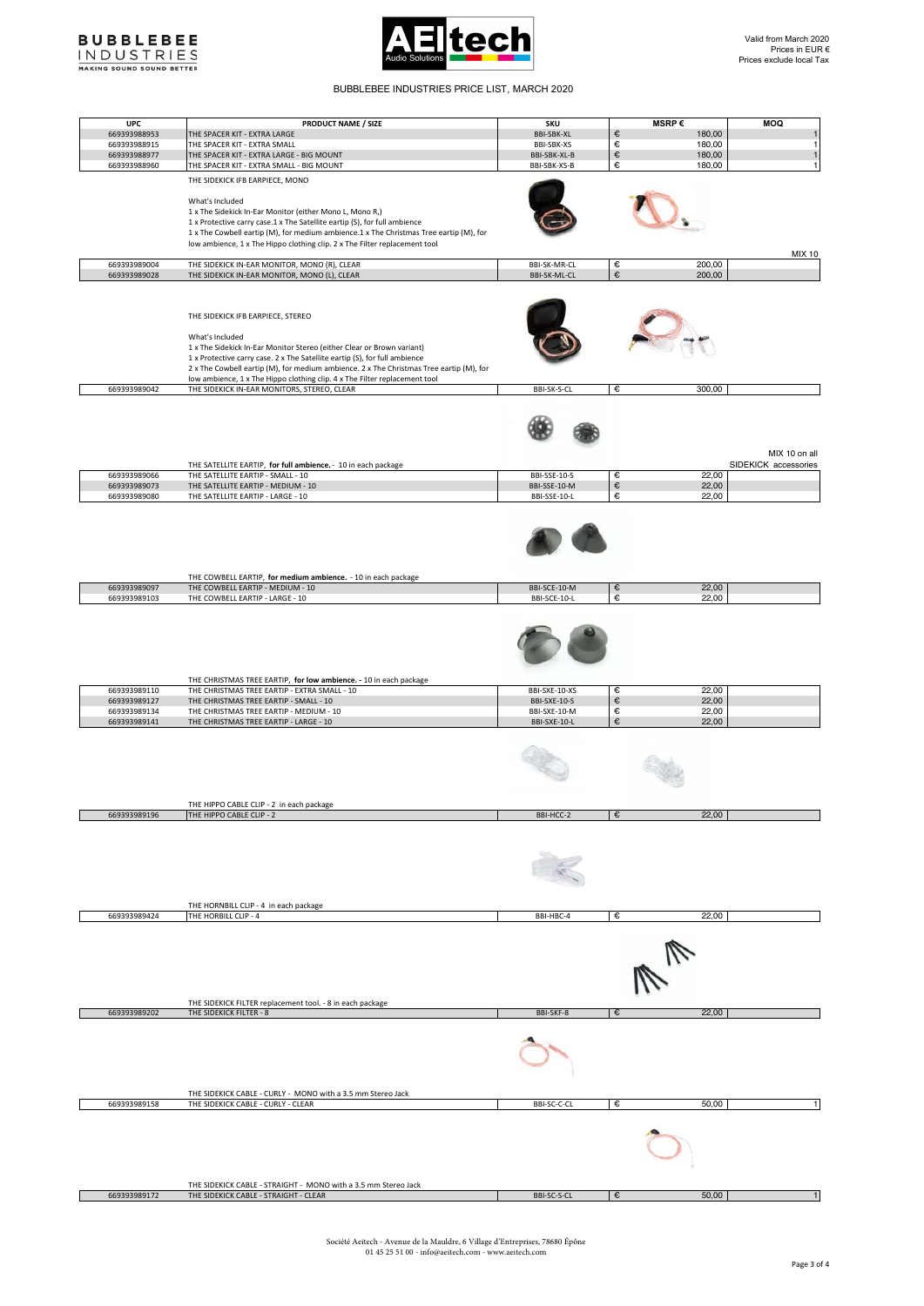



## BUBBLEBEE INDUSTRIES PRICE LIST, MARCH 2020

| <b>UPC</b>   | PRODUCT NAME / SIZE                                                                                               | SKU               | MSRP $\epsilon$     | <b>MOQ</b>           |
|--------------|-------------------------------------------------------------------------------------------------------------------|-------------------|---------------------|----------------------|
| 669393988953 | THE SPACER KIT - EXTRA LARGE                                                                                      | <b>BBI-SBK-XL</b> | 180,00<br>€         | $\mathbf{1}$         |
| 669393988915 | THE SPACER KIT - EXTRA SMALL                                                                                      | BBI-SBK-XS        | €<br>180,00         | $\mathbf{1}$         |
| 669393988977 | THE SPACER KIT - EXTRA LARGE - BIG MOUNT                                                                          | BBI-SBK-XL-B      | $\in$<br>180,00     | $\mathbf{1}$         |
| 669393988960 | THE SPACER KIT - EXTRA SMALL - BIG MOUNT                                                                          | BBI-SBK-XS-B      | €<br>180,00         | 1                    |
|              | THE SIDEKICK IFB EARPIECE, MONO                                                                                   |                   |                     |                      |
|              |                                                                                                                   |                   |                     |                      |
|              | What's Included                                                                                                   |                   |                     |                      |
|              | 1 x The Sidekick In-Ear Monitor (either Mono L, Mono R,)                                                          |                   |                     |                      |
|              | 1 x Protective carry case.1 x The Satellite eartip (S), for full ambience                                         |                   |                     |                      |
|              | 1 x The Cowbell eartip (M), for medium ambience.1 x The Christmas Tree eartip (M), for                            |                   |                     |                      |
|              | low ambience, 1 x The Hippo clothing clip. 2 x The Filter replacement tool                                        |                   |                     |                      |
|              |                                                                                                                   |                   |                     | <b>MIX 10</b>        |
| 669393989004 | THE SIDEKICK IN-EAR MONITOR, MONO (R), CLEAR                                                                      | BBI-SK-MR-CL      | 200,00<br>€         |                      |
| 669393989028 | THE SIDEKICK IN-EAR MONITOR, MONO (L), CLEAR                                                                      | BBI-SK-ML-CL      | €<br>200,00         |                      |
|              |                                                                                                                   |                   |                     |                      |
|              |                                                                                                                   |                   |                     |                      |
|              | THE SIDEKICK IFB EARPIECE, STEREO                                                                                 |                   |                     |                      |
|              |                                                                                                                   |                   |                     |                      |
|              | What's Included                                                                                                   |                   |                     |                      |
|              | 1 x The Sidekick In-Ear Monitor Stereo (either Clear or Brown variant)                                            |                   |                     |                      |
|              | 1 x Protective carry case. 2 x The Satellite eartip (S), for full ambience                                        |                   |                     |                      |
|              | 2 x The Cowbell eartip (M), for medium ambience. 2 x The Christmas Tree eartip (M), for                           |                   |                     |                      |
|              | low ambience, 1 x The Hippo clothing clip. 4 x The Filter replacement tool                                        |                   |                     |                      |
| 669393989042 | THE SIDEKICK IN-EAR MONITORS, STEREO, CLEAR                                                                       | BBI-SK-S-CL       | 300,00<br>€         |                      |
|              |                                                                                                                   |                   |                     |                      |
|              |                                                                                                                   |                   |                     |                      |
|              |                                                                                                                   |                   |                     |                      |
|              |                                                                                                                   |                   |                     |                      |
|              |                                                                                                                   |                   |                     | MIX 10 on all        |
|              | THE SATELLITE EARTIP, for full ambience. - 10 in each package                                                     |                   |                     | SIDEKICK accessories |
| 669393989066 | THE SATELLITE EARTIP - SMALL - 10                                                                                 | BBI-SSE-10-S      | €<br>22,00          |                      |
| 669393989073 | THE SATELLITE EARTIP - MEDIUM - 10                                                                                | BBI-SSE-10-M      | $\in$<br>22,00      |                      |
| 669393989080 | THE SATELLITE EARTIP - LARGE - 10                                                                                 | BBI-SSE-10-L      | €<br>22,00          |                      |
|              |                                                                                                                   |                   |                     |                      |
|              |                                                                                                                   |                   |                     |                      |
|              |                                                                                                                   |                   |                     |                      |
|              |                                                                                                                   |                   |                     |                      |
|              |                                                                                                                   |                   |                     |                      |
|              |                                                                                                                   |                   |                     |                      |
|              | THE COWBELL EARTIP, for medium ambience. - 10 in each package                                                     |                   |                     |                      |
| 669393989097 | THE COWBELL EARTIP - MEDIUM - 10                                                                                  | BBI-SCE-10-M      | 22,00<br>€          |                      |
| 669393989103 | THE COWBELL EARTIP - LARGE - 10                                                                                   | BBI-SCE-10-L      | €<br>22,00          |                      |
|              |                                                                                                                   |                   |                     |                      |
|              |                                                                                                                   |                   |                     |                      |
|              |                                                                                                                   |                   |                     |                      |
|              |                                                                                                                   |                   |                     |                      |
|              |                                                                                                                   |                   |                     |                      |
|              |                                                                                                                   |                   |                     |                      |
|              |                                                                                                                   |                   |                     |                      |
| 669393989110 | THE CHRISTMAS TREE EARTIP, for low ambience. - 10 in each package<br>THE CHRISTMAS TREE EARTIP - EXTRA SMALL - 10 | BBI-SXE-10-XS     | 22,00<br>€          |                      |
| 669393989127 | THE CHRISTMAS TREE EARTIP - SMALL - 10                                                                            | BBI-SXE-10-S      | $\epsilon$<br>22,00 |                      |
| 669393989134 | THE CHRISTMAS TREE EARTIP - MEDIUM - 10                                                                           | BBI-SXE-10-M      | €<br>22,00          |                      |
| 669393989141 | THE CHRISTMAS TREE EARTIP - LARGE - 10                                                                            | BBI-SXE-10-L      | €<br>22,00          |                      |
|              |                                                                                                                   |                   |                     |                      |
|              |                                                                                                                   |                   |                     |                      |
|              |                                                                                                                   |                   |                     |                      |
|              |                                                                                                                   |                   |                     |                      |
|              |                                                                                                                   |                   |                     |                      |
|              |                                                                                                                   |                   |                     |                      |
|              |                                                                                                                   |                   |                     |                      |
|              | THE HIPPO CABLE CLIP - 2 in each package                                                                          |                   | €                   |                      |
| 669393989196 | THE HIPPO CABLE CLIP - 2                                                                                          | BBI-HCC-2         | 22,00               |                      |
|              |                                                                                                                   |                   |                     |                      |
|              |                                                                                                                   |                   |                     |                      |
|              |                                                                                                                   |                   |                     |                      |
|              |                                                                                                                   |                   |                     |                      |
|              |                                                                                                                   |                   |                     |                      |
|              |                                                                                                                   |                   |                     |                      |
|              | THE HORNBILL CLIP - 4 in each package                                                                             |                   |                     |                      |
| 669393989424 | THE HORBILL CLIP - 4                                                                                              | BBI-HBC-4         | €<br>22,00          |                      |
|              |                                                                                                                   |                   |                     |                      |
|              |                                                                                                                   |                   |                     |                      |
|              |                                                                                                                   |                   |                     |                      |
|              |                                                                                                                   |                   |                     |                      |
|              |                                                                                                                   |                   |                     |                      |
|              |                                                                                                                   |                   |                     |                      |
|              |                                                                                                                   |                   |                     |                      |
|              | THE SIDEKICK FILTER replacement tool. - 8 in each package                                                         |                   |                     |                      |
| 669393989202 | THE SIDEKICK FILTER - 8                                                                                           | BBI-SKF-8         | 22,00<br>€          |                      |
|              |                                                                                                                   |                   |                     |                      |
|              |                                                                                                                   |                   |                     |                      |
|              |                                                                                                                   |                   |                     |                      |
|              |                                                                                                                   |                   |                     |                      |
|              |                                                                                                                   |                   |                     |                      |
|              |                                                                                                                   |                   |                     |                      |
|              | THE SIDEKICK CABLE - CURLY - MONO with a 3.5 mm Stereo Jack                                                       |                   |                     |                      |
| 669393989158 | THE SIDEKICK CABLE - CURLY - CLEAR                                                                                | BBI-SC-C-CL       | €<br>50,00          | 1                    |
|              |                                                                                                                   |                   |                     |                      |
|              |                                                                                                                   |                   |                     |                      |
|              |                                                                                                                   |                   |                     |                      |
|              |                                                                                                                   |                   |                     |                      |
|              |                                                                                                                   |                   |                     |                      |
|              |                                                                                                                   |                   |                     |                      |
|              | THE SIDEKICK CABLE - STRAIGHT - MONO with a 3.5 mm Stereo Jack                                                    |                   |                     |                      |
| 669393989172 | THE SIDEKICK CABLE - STRAIGHT - CLEAR                                                                             | BBI-SC-S-CL       | €<br>50,00          |                      |
|              |                                                                                                                   |                   |                     |                      |